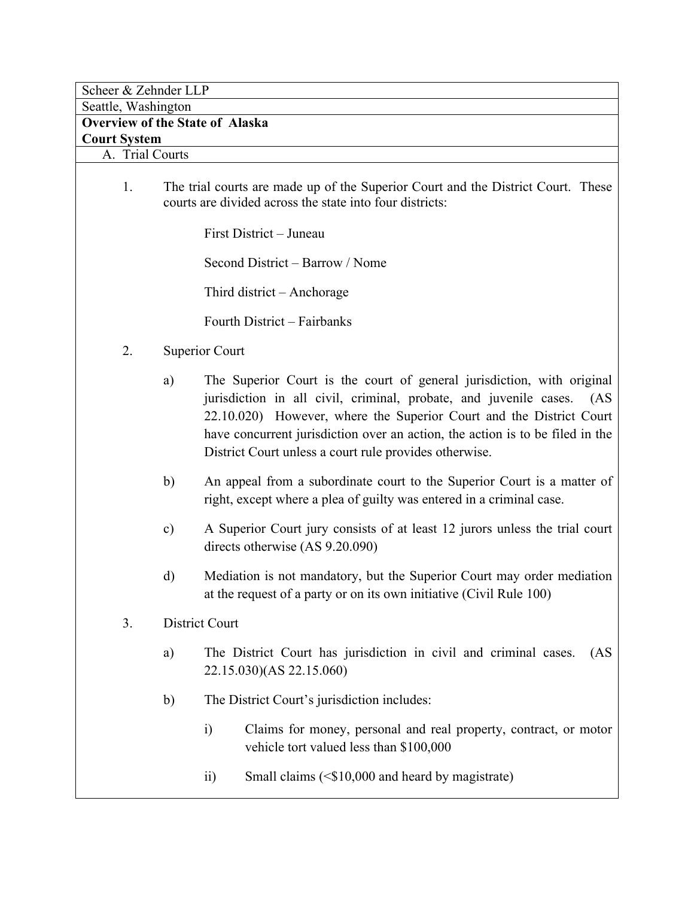Scheer & Zehnder LLP

| Seattle, Washington                    |                                                                                                                                              |                                                                                                                                                                                                                                                                                                                                                                       |  |  |
|----------------------------------------|----------------------------------------------------------------------------------------------------------------------------------------------|-----------------------------------------------------------------------------------------------------------------------------------------------------------------------------------------------------------------------------------------------------------------------------------------------------------------------------------------------------------------------|--|--|
| <b>Overview of the State of Alaska</b> |                                                                                                                                              |                                                                                                                                                                                                                                                                                                                                                                       |  |  |
| <b>Court System</b>                    |                                                                                                                                              |                                                                                                                                                                                                                                                                                                                                                                       |  |  |
| A. Trial Courts                        |                                                                                                                                              |                                                                                                                                                                                                                                                                                                                                                                       |  |  |
| 1.                                     | The trial courts are made up of the Superior Court and the District Court. These<br>courts are divided across the state into four districts: |                                                                                                                                                                                                                                                                                                                                                                       |  |  |
|                                        |                                                                                                                                              | First District – Juneau                                                                                                                                                                                                                                                                                                                                               |  |  |
|                                        |                                                                                                                                              | Second District – Barrow / Nome                                                                                                                                                                                                                                                                                                                                       |  |  |
|                                        |                                                                                                                                              | Third district – Anchorage                                                                                                                                                                                                                                                                                                                                            |  |  |
|                                        |                                                                                                                                              | Fourth District – Fairbanks                                                                                                                                                                                                                                                                                                                                           |  |  |
| 2.                                     |                                                                                                                                              | <b>Superior Court</b>                                                                                                                                                                                                                                                                                                                                                 |  |  |
|                                        | a)                                                                                                                                           | The Superior Court is the court of general jurisdiction, with original<br>jurisdiction in all civil, criminal, probate, and juvenile cases.<br>(AS)<br>22.10.020) However, where the Superior Court and the District Court<br>have concurrent jurisdiction over an action, the action is to be filed in the<br>District Court unless a court rule provides otherwise. |  |  |
|                                        | b)                                                                                                                                           | An appeal from a subordinate court to the Superior Court is a matter of<br>right, except where a plea of guilty was entered in a criminal case.                                                                                                                                                                                                                       |  |  |
|                                        | $\mathbf{c})$                                                                                                                                | A Superior Court jury consists of at least 12 jurors unless the trial court<br>directs otherwise (AS 9.20.090)                                                                                                                                                                                                                                                        |  |  |
|                                        | d)                                                                                                                                           | Mediation is not mandatory, but the Superior Court may order mediation<br>at the request of a party or on its own initiative (Civil Rule 100)                                                                                                                                                                                                                         |  |  |
| 3.                                     |                                                                                                                                              | District Court                                                                                                                                                                                                                                                                                                                                                        |  |  |
|                                        | a)                                                                                                                                           | The District Court has jurisdiction in civil and criminal cases.<br>(AS<br>22.15.030)(AS 22.15.060)                                                                                                                                                                                                                                                                   |  |  |
|                                        | b)                                                                                                                                           | The District Court's jurisdiction includes:                                                                                                                                                                                                                                                                                                                           |  |  |
|                                        |                                                                                                                                              | $\ddot{1}$<br>Claims for money, personal and real property, contract, or motor<br>vehicle tort valued less than \$100,000                                                                                                                                                                                                                                             |  |  |
|                                        |                                                                                                                                              | Small claims $(\leq$ \$10,000 and heard by magistrate)<br>$\overline{11}$                                                                                                                                                                                                                                                                                             |  |  |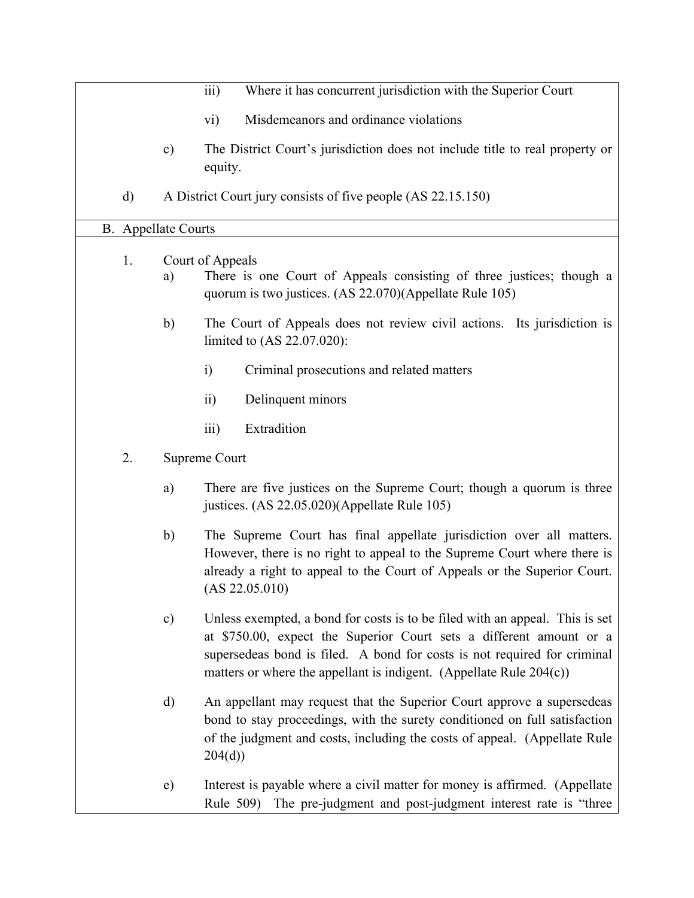|                            |                  | $\overline{iii}$<br>Where it has concurrent jurisdiction with the Superior Court                                                                                                                                                                                                                          |  |
|----------------------------|------------------|-----------------------------------------------------------------------------------------------------------------------------------------------------------------------------------------------------------------------------------------------------------------------------------------------------------|--|
|                            |                  | Misdemeanors and ordinance violations<br>$\overline{\text{vi}}$                                                                                                                                                                                                                                           |  |
|                            | $\mathbf{c})$    | The District Court's jurisdiction does not include title to real property or<br>equity.                                                                                                                                                                                                                   |  |
| $\mathbf{d}$               |                  | A District Court jury consists of five people (AS 22.15.150)                                                                                                                                                                                                                                              |  |
| <b>B.</b> Appellate Courts |                  |                                                                                                                                                                                                                                                                                                           |  |
| 1.                         | Court of Appeals |                                                                                                                                                                                                                                                                                                           |  |
|                            | a)               | There is one Court of Appeals consisting of three justices; though a<br>quorum is two justices. (AS 22.070)(Appellate Rule 105)                                                                                                                                                                           |  |
|                            | b)               | The Court of Appeals does not review civil actions. Its jurisdiction is<br>limited to (AS 22.07.020):                                                                                                                                                                                                     |  |
|                            |                  | $\mathbf{i}$<br>Criminal prosecutions and related matters                                                                                                                                                                                                                                                 |  |
|                            |                  | Delinquent minors<br>$\overline{ii}$                                                                                                                                                                                                                                                                      |  |
|                            |                  | iii)<br>Extradition                                                                                                                                                                                                                                                                                       |  |
| 2.                         | Supreme Court    |                                                                                                                                                                                                                                                                                                           |  |
|                            | a)               | There are five justices on the Supreme Court; though a quorum is three<br>justices. (AS 22.05.020)(Appellate Rule 105)                                                                                                                                                                                    |  |
|                            | b)               | The Supreme Court has final appellate jurisdiction over all matters.<br>However, there is no right to appeal to the Supreme Court where there is<br>already a right to appeal to the Court of Appeals or the Superior Court.<br>(AS 22.05.010)                                                            |  |
|                            | $\mathbf{c})$    | Unless exempted, a bond for costs is to be filed with an appeal. This is set<br>at \$750.00, expect the Superior Court sets a different amount or a<br>supersedeas bond is filed. A bond for costs is not required for criminal<br>matters or where the appellant is indigent. (Appellate Rule $204(c)$ ) |  |
|                            | $\rm d)$         | An appellant may request that the Superior Court approve a supersedeas<br>bond to stay proceedings, with the surety conditioned on full satisfaction<br>of the judgment and costs, including the costs of appeal. (Appellate Rule<br>204(d)                                                               |  |
|                            | e)               | Interest is payable where a civil matter for money is affirmed. (Appellate<br>Rule 509) The pre-judgment and post-judgment interest rate is "three                                                                                                                                                        |  |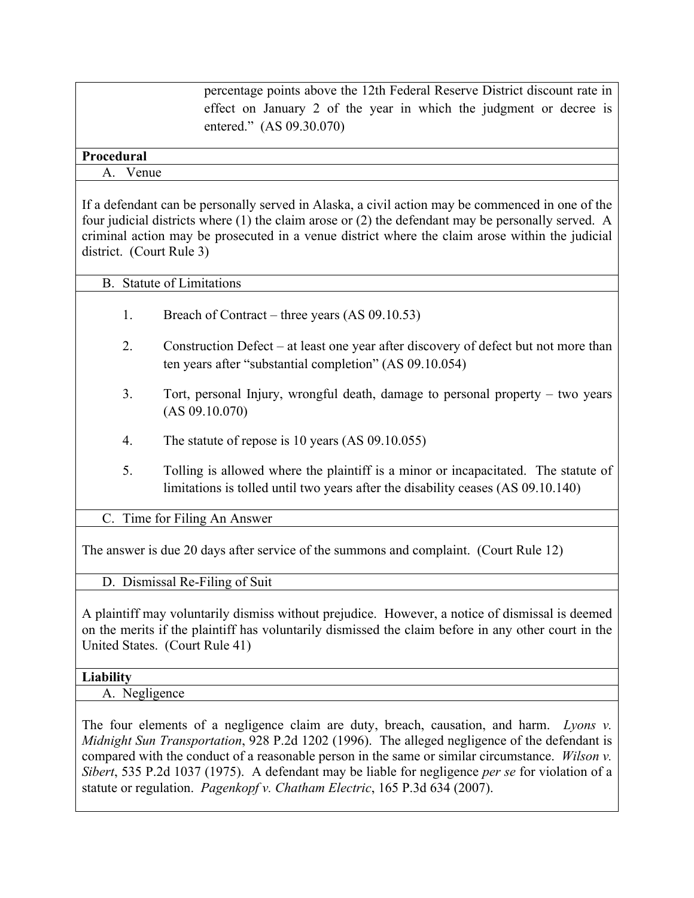percentage points above the 12th Federal Reserve District discount rate in effect on January 2 of the year in which the judgment or decree is entered." (AS 09.30.070)

## **Procedural**

#### A. Venue

If a defendant can be personally served in Alaska, a civil action may be commenced in one of the four judicial districts where (1) the claim arose or (2) the defendant may be personally served. A criminal action may be prosecuted in a venue district where the claim arose within the judicial district. (Court Rule 3)

## B. Statute of Limitations

- 1. Breach of Contract three years (AS 09.10.53)
- 2. Construction Defect at least one year after discovery of defect but not more than ten years after "substantial completion" (AS 09.10.054)
- 3. Tort, personal Injury, wrongful death, damage to personal property two years (AS 09.10.070)
- 4. The statute of repose is 10 years (AS 09.10.055)
- 5. Tolling is allowed where the plaintiff is a minor or incapacitated. The statute of limitations is tolled until two years after the disability ceases (AS 09.10.140)

C. Time for Filing An Answer

The answer is due 20 days after service of the summons and complaint. (Court Rule 12)

D. Dismissal Re-Filing of Suit

A plaintiff may voluntarily dismiss without prejudice. However, a notice of dismissal is deemed on the merits if the plaintiff has voluntarily dismissed the claim before in any other court in the United States. (Court Rule 41)

## **Liability**

A. Negligence

The four elements of a negligence claim are duty, breach, causation, and harm. *Lyons v. Midnight Sun Transportation*, 928 P.2d 1202 (1996). The alleged negligence of the defendant is compared with the conduct of a reasonable person in the same or similar circumstance. *Wilson v. Sibert*, 535 P.2d 1037 (1975). A defendant may be liable for negligence *per se* for violation of a statute or regulation. *Pagenkopf v. Chatham Electric*, 165 P.3d 634 (2007).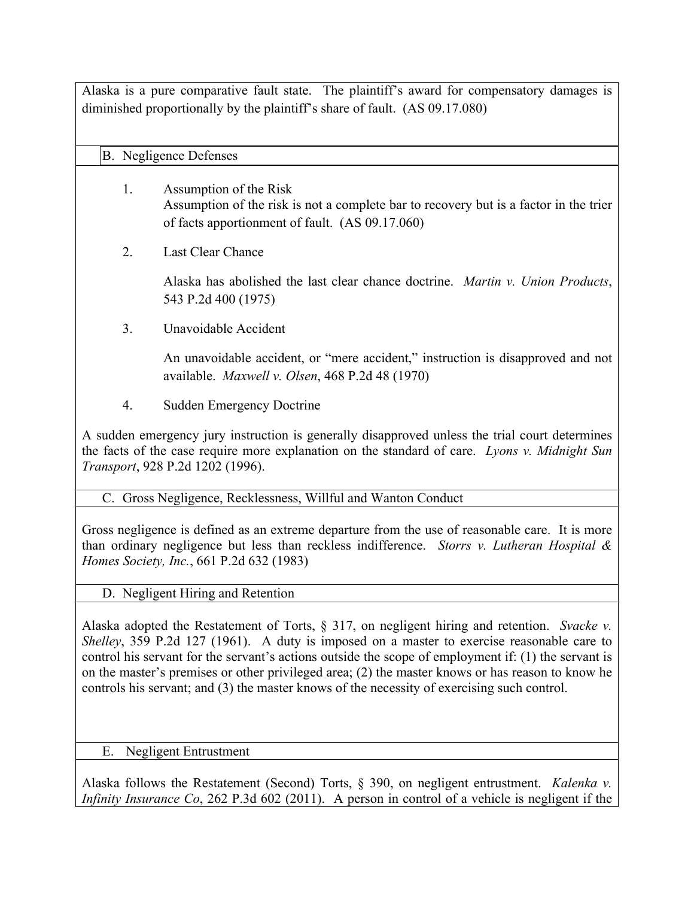Alaska is a pure comparative fault state. The plaintiff's award for compensatory damages is diminished proportionally by the plaintiff's share of fault. (AS 09.17.080)

## B. Negligence Defenses

- 1. Assumption of the Risk Assumption of the risk is not a complete bar to recovery but is a factor in the trier of facts apportionment of fault. (AS 09.17.060)
- 2. Last Clear Chance

Alaska has abolished the last clear chance doctrine. *Martin v. Union Products*, 543 P.2d 400 (1975)

3. Unavoidable Accident

An unavoidable accident, or "mere accident," instruction is disapproved and not available. *Maxwell v. Olsen*, 468 P.2d 48 (1970)

4. Sudden Emergency Doctrine

A sudden emergency jury instruction is generally disapproved unless the trial court determines the facts of the case require more explanation on the standard of care. *Lyons v. Midnight Sun Transport*, 928 P.2d 1202 (1996).

## C. Gross Negligence, Recklessness, Willful and Wanton Conduct

Gross negligence is defined as an extreme departure from the use of reasonable care. It is more than ordinary negligence but less than reckless indifference. *Storrs v. Lutheran Hospital & Homes Society, Inc.*, 661 P.2d 632 (1983)

D. Negligent Hiring and Retention

Alaska adopted the Restatement of Torts, § 317, on negligent hiring and retention. *Svacke v. Shelley*, 359 P.2d 127 (1961). A duty is imposed on a master to exercise reasonable care to control his servant for the servant's actions outside the scope of employment if: (1) the servant is on the master's premises or other privileged area; (2) the master knows or has reason to know he controls his servant; and (3) the master knows of the necessity of exercising such control.

## E. Negligent Entrustment

Alaska follows the Restatement (Second) Torts, § 390, on negligent entrustment. *Kalenka v. Infinity Insurance Co*, 262 P.3d 602 (2011). A person in control of a vehicle is negligent if the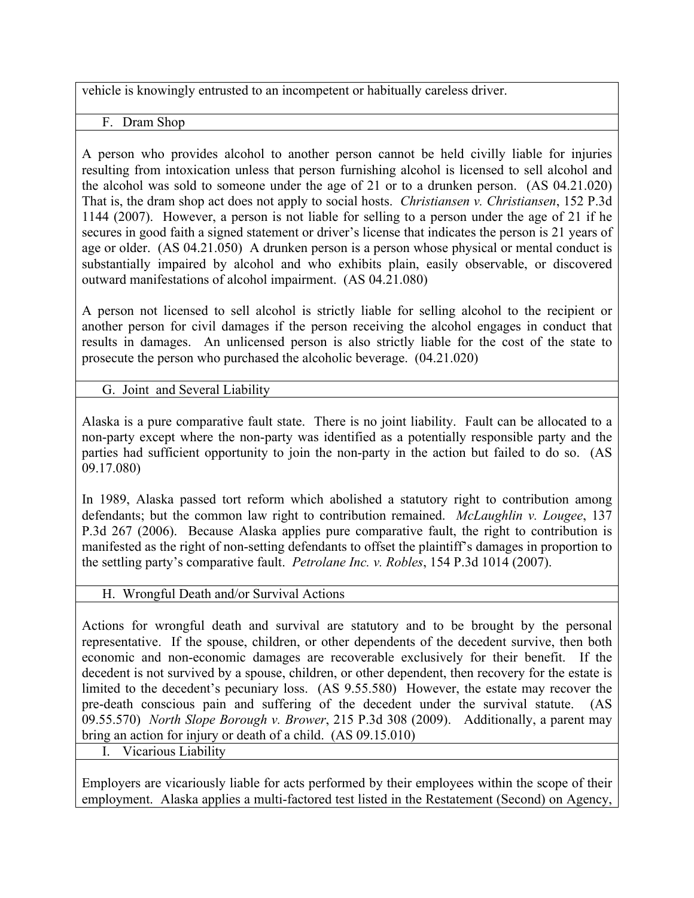vehicle is knowingly entrusted to an incompetent or habitually careless driver.

F. Dram Shop

A person who provides alcohol to another person cannot be held civilly liable for injuries resulting from intoxication unless that person furnishing alcohol is licensed to sell alcohol and the alcohol was sold to someone under the age of 21 or to a drunken person. (AS 04.21.020) That is, the dram shop act does not apply to social hosts. *Christiansen v. Christiansen*, 152 P.3d 1144 (2007). However, a person is not liable for selling to a person under the age of 21 if he secures in good faith a signed statement or driver's license that indicates the person is 21 years of age or older. (AS 04.21.050) A drunken person is a person whose physical or mental conduct is substantially impaired by alcohol and who exhibits plain, easily observable, or discovered outward manifestations of alcohol impairment. (AS 04.21.080)

A person not licensed to sell alcohol is strictly liable for selling alcohol to the recipient or another person for civil damages if the person receiving the alcohol engages in conduct that results in damages. An unlicensed person is also strictly liable for the cost of the state to prosecute the person who purchased the alcoholic beverage. (04.21.020)

G. Joint and Several Liability

Alaska is a pure comparative fault state. There is no joint liability. Fault can be allocated to a non-party except where the non-party was identified as a potentially responsible party and the parties had sufficient opportunity to join the non-party in the action but failed to do so. (AS 09.17.080)

In 1989, Alaska passed tort reform which abolished a statutory right to contribution among defendants; but the common law right to contribution remained. *McLaughlin v. Lougee*, 137 P.3d 267 (2006). Because Alaska applies pure comparative fault, the right to contribution is manifested as the right of non-setting defendants to offset the plaintiff's damages in proportion to the settling party's comparative fault. *Petrolane Inc. v. Robles*, 154 P.3d 1014 (2007).

## H. Wrongful Death and/or Survival Actions

Actions for wrongful death and survival are statutory and to be brought by the personal representative. If the spouse, children, or other dependents of the decedent survive, then both economic and non-economic damages are recoverable exclusively for their benefit. If the decedent is not survived by a spouse, children, or other dependent, then recovery for the estate is limited to the decedent's pecuniary loss. (AS 9.55.580) However, the estate may recover the pre-death conscious pain and suffering of the decedent under the survival statute. (AS 09.55.570) *North Slope Borough v. Brower*, 215 P.3d 308 (2009). Additionally, a parent may bring an action for injury or death of a child. (AS 09.15.010)

I. Vicarious Liability

Employers are vicariously liable for acts performed by their employees within the scope of their employment. Alaska applies a multi-factored test listed in the Restatement (Second) on Agency,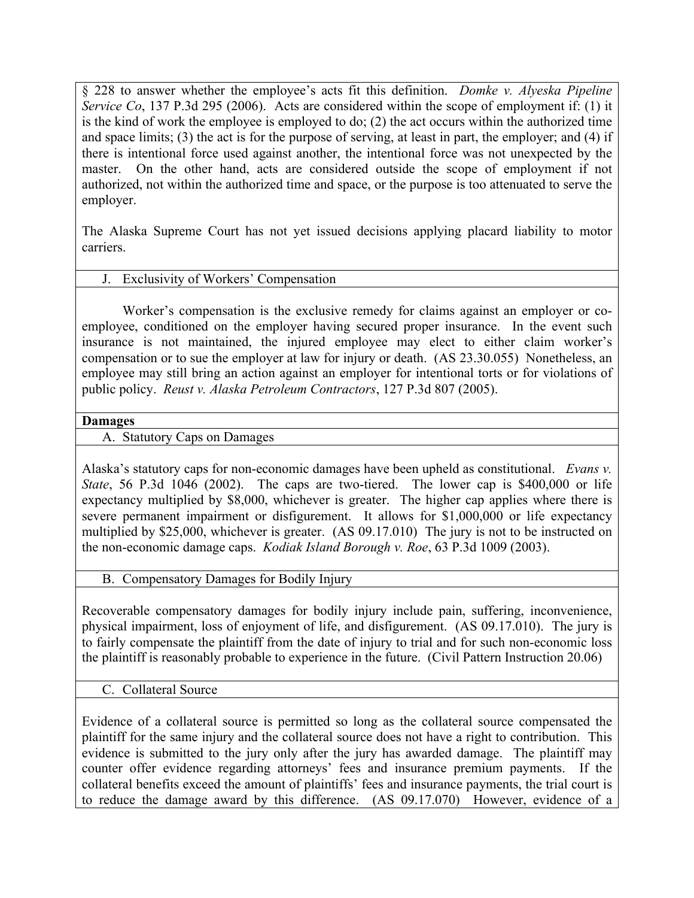§ 228 to answer whether the employee's acts fit this definition. *Domke v. Alyeska Pipeline Service Co*, 137 P.3d 295 (2006). Acts are considered within the scope of employment if: (1) it is the kind of work the employee is employed to do; (2) the act occurs within the authorized time and space limits; (3) the act is for the purpose of serving, at least in part, the employer; and (4) if there is intentional force used against another, the intentional force was not unexpected by the master. On the other hand, acts are considered outside the scope of employment if not authorized, not within the authorized time and space, or the purpose is too attenuated to serve the employer.

The Alaska Supreme Court has not yet issued decisions applying placard liability to motor carriers.

## J. Exclusivity of Workers' Compensation

Worker's compensation is the exclusive remedy for claims against an employer or coemployee, conditioned on the employer having secured proper insurance. In the event such insurance is not maintained, the injured employee may elect to either claim worker's compensation or to sue the employer at law for injury or death. (AS 23.30.055) Nonetheless, an employee may still bring an action against an employer for intentional torts or for violations of public policy. *Reust v. Alaska Petroleum Contractors*, 127 P.3d 807 (2005).

#### **Damages**

## A. Statutory Caps on Damages

Alaska's statutory caps for non-economic damages have been upheld as constitutional. *Evans v. State*, 56 P.3d 1046 (2002). The caps are two-tiered. The lower cap is \$400,000 or life expectancy multiplied by \$8,000, whichever is greater. The higher cap applies where there is severe permanent impairment or disfigurement. It allows for \$1,000,000 or life expectancy multiplied by \$25,000, whichever is greater. (AS 09.17.010) The jury is not to be instructed on the non-economic damage caps. *Kodiak Island Borough v. Roe*, 63 P.3d 1009 (2003).

#### B. Compensatory Damages for Bodily Injury

Recoverable compensatory damages for bodily injury include pain, suffering, inconvenience, physical impairment, loss of enjoyment of life, and disfigurement. (AS 09.17.010). The jury is to fairly compensate the plaintiff from the date of injury to trial and for such non-economic loss the plaintiff is reasonably probable to experience in the future. (Civil Pattern Instruction 20.06)

#### C. Collateral Source

Evidence of a collateral source is permitted so long as the collateral source compensated the plaintiff for the same injury and the collateral source does not have a right to contribution. This evidence is submitted to the jury only after the jury has awarded damage. The plaintiff may counter offer evidence regarding attorneys' fees and insurance premium payments. If the collateral benefits exceed the amount of plaintiffs' fees and insurance payments, the trial court is to reduce the damage award by this difference. (AS 09.17.070) However, evidence of a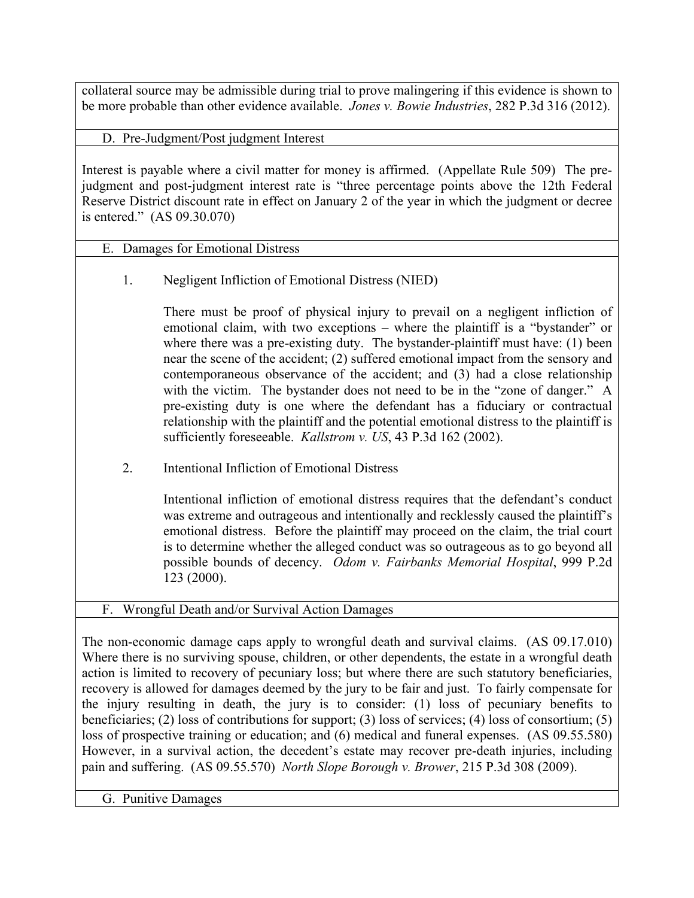collateral source may be admissible during trial to prove malingering if this evidence is shown to be more probable than other evidence available. *Jones v. Bowie Industries*, 282 P.3d 316 (2012).

D. Pre-Judgment/Post judgment Interest

Interest is payable where a civil matter for money is affirmed. (Appellate Rule 509) The prejudgment and post-judgment interest rate is "three percentage points above the 12th Federal Reserve District discount rate in effect on January 2 of the year in which the judgment or decree is entered." (AS 09.30.070)

# E. Damages for Emotional Distress

1. Negligent Infliction of Emotional Distress (NIED)

There must be proof of physical injury to prevail on a negligent infliction of emotional claim, with two exceptions – where the plaintiff is a "bystander" or where there was a pre-existing duty. The bystander-plaintiff must have: (1) been near the scene of the accident; (2) suffered emotional impact from the sensory and contemporaneous observance of the accident; and (3) had a close relationship with the victim. The bystander does not need to be in the "zone of danger." A pre-existing duty is one where the defendant has a fiduciary or contractual relationship with the plaintiff and the potential emotional distress to the plaintiff is sufficiently foreseeable. *Kallstrom v. US*, 43 P.3d 162 (2002).

2. Intentional Infliction of Emotional Distress

Intentional infliction of emotional distress requires that the defendant's conduct was extreme and outrageous and intentionally and recklessly caused the plaintiff's emotional distress. Before the plaintiff may proceed on the claim, the trial court is to determine whether the alleged conduct was so outrageous as to go beyond all possible bounds of decency. *Odom v. Fairbanks Memorial Hospital*, 999 P.2d 123 (2000).

F. Wrongful Death and/or Survival Action Damages

The non-economic damage caps apply to wrongful death and survival claims. (AS 09.17.010) Where there is no surviving spouse, children, or other dependents, the estate in a wrongful death action is limited to recovery of pecuniary loss; but where there are such statutory beneficiaries, recovery is allowed for damages deemed by the jury to be fair and just. To fairly compensate for the injury resulting in death, the jury is to consider: (1) loss of pecuniary benefits to beneficiaries; (2) loss of contributions for support; (3) loss of services; (4) loss of consortium; (5) loss of prospective training or education; and (6) medical and funeral expenses. (AS 09.55.580) However, in a survival action, the decedent's estate may recover pre-death injuries, including pain and suffering. (AS 09.55.570) *North Slope Borough v. Brower*, 215 P.3d 308 (2009).

G. Punitive Damages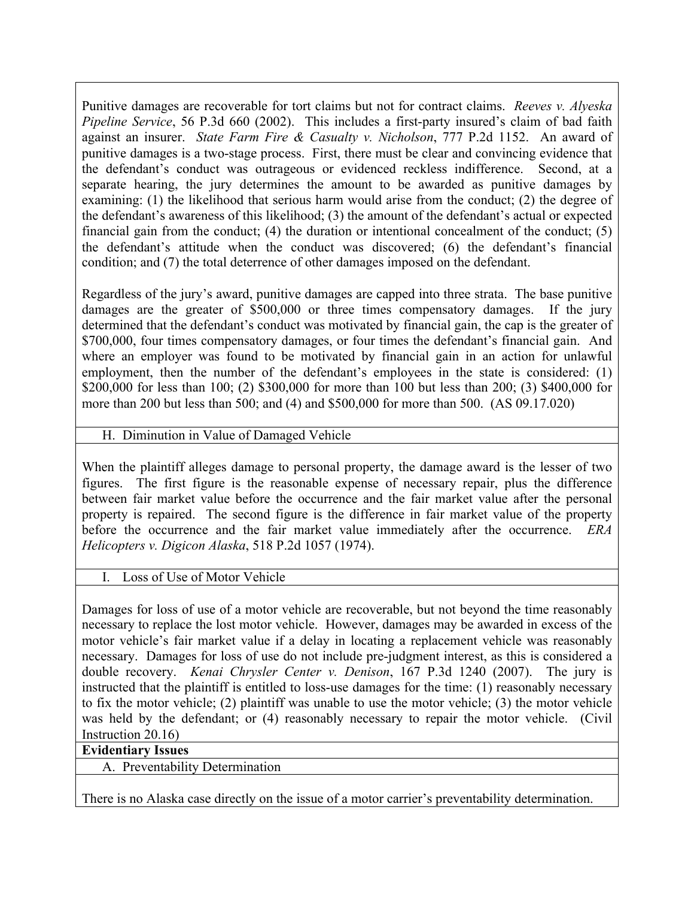Punitive damages are recoverable for tort claims but not for contract claims. *Reeves v. Alyeska Pipeline Service*, 56 P.3d 660 (2002). This includes a first-party insured's claim of bad faith against an insurer. *State Farm Fire & Casualty v. Nicholson*, 777 P.2d 1152. An award of punitive damages is a two-stage process. First, there must be clear and convincing evidence that the defendant's conduct was outrageous or evidenced reckless indifference. Second, at a separate hearing, the jury determines the amount to be awarded as punitive damages by examining: (1) the likelihood that serious harm would arise from the conduct; (2) the degree of the defendant's awareness of this likelihood; (3) the amount of the defendant's actual or expected financial gain from the conduct; (4) the duration or intentional concealment of the conduct; (5) the defendant's attitude when the conduct was discovered; (6) the defendant's financial condition; and (7) the total deterrence of other damages imposed on the defendant.

Regardless of the jury's award, punitive damages are capped into three strata. The base punitive damages are the greater of \$500,000 or three times compensatory damages. If the jury determined that the defendant's conduct was motivated by financial gain, the cap is the greater of \$700,000, four times compensatory damages, or four times the defendant's financial gain. And where an employer was found to be motivated by financial gain in an action for unlawful employment, then the number of the defendant's employees in the state is considered: (1) \$200,000 for less than 100; (2) \$300,000 for more than 100 but less than 200; (3) \$400,000 for more than 200 but less than 500; and (4) and \$500,000 for more than 500. (AS 09.17.020)

H. Diminution in Value of Damaged Vehicle

When the plaintiff alleges damage to personal property, the damage award is the lesser of two figures. The first figure is the reasonable expense of necessary repair, plus the difference between fair market value before the occurrence and the fair market value after the personal property is repaired. The second figure is the difference in fair market value of the property before the occurrence and the fair market value immediately after the occurrence. *ERA Helicopters v. Digicon Alaska*, 518 P.2d 1057 (1974).

## I. Loss of Use of Motor Vehicle

Damages for loss of use of a motor vehicle are recoverable, but not beyond the time reasonably necessary to replace the lost motor vehicle. However, damages may be awarded in excess of the motor vehicle's fair market value if a delay in locating a replacement vehicle was reasonably necessary. Damages for loss of use do not include pre-judgment interest, as this is considered a double recovery. *Kenai Chrysler Center v. Denison*, 167 P.3d 1240 (2007). The jury is instructed that the plaintiff is entitled to loss-use damages for the time: (1) reasonably necessary to fix the motor vehicle; (2) plaintiff was unable to use the motor vehicle; (3) the motor vehicle was held by the defendant; or (4) reasonably necessary to repair the motor vehicle. (Civil Instruction 20.16)

## **Evidentiary Issues**

A. Preventability Determination

There is no Alaska case directly on the issue of a motor carrier's preventability determination.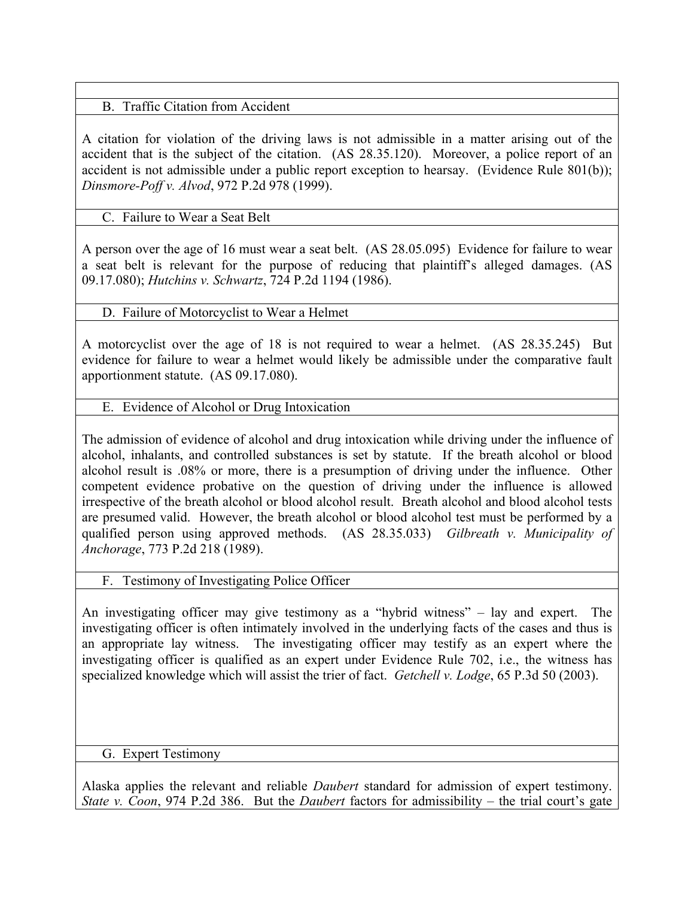# B. Traffic Citation from Accident

A citation for violation of the driving laws is not admissible in a matter arising out of the accident that is the subject of the citation. (AS 28.35.120). Moreover, a police report of an accident is not admissible under a public report exception to hearsay. (Evidence Rule 801(b)); *Dinsmore-Poff v. Alvod*, 972 P.2d 978 (1999).

# C. Failure to Wear a Seat Belt

A person over the age of 16 must wear a seat belt. (AS 28.05.095) Evidence for failure to wear a seat belt is relevant for the purpose of reducing that plaintiff's alleged damages. (AS 09.17.080); *Hutchins v. Schwartz*, 724 P.2d 1194 (1986).

# D. Failure of Motorcyclist to Wear a Helmet

A motorcyclist over the age of 18 is not required to wear a helmet. (AS 28.35.245) But evidence for failure to wear a helmet would likely be admissible under the comparative fault apportionment statute. (AS 09.17.080).

## E. Evidence of Alcohol or Drug Intoxication

The admission of evidence of alcohol and drug intoxication while driving under the influence of alcohol, inhalants, and controlled substances is set by statute. If the breath alcohol or blood alcohol result is .08% or more, there is a presumption of driving under the influence. Other competent evidence probative on the question of driving under the influence is allowed irrespective of the breath alcohol or blood alcohol result. Breath alcohol and blood alcohol tests are presumed valid. However, the breath alcohol or blood alcohol test must be performed by a qualified person using approved methods. (AS 28.35.033) *Gilbreath v. Municipality of Anchorage*, 773 P.2d 218 (1989).

## F. Testimony of Investigating Police Officer

An investigating officer may give testimony as a "hybrid witness" – lay and expert. The investigating officer is often intimately involved in the underlying facts of the cases and thus is an appropriate lay witness. The investigating officer may testify as an expert where the investigating officer is qualified as an expert under Evidence Rule 702, i.e., the witness has specialized knowledge which will assist the trier of fact. *Getchell v. Lodge*, 65 P.3d 50 (2003).

G. Expert Testimony

Alaska applies the relevant and reliable *Daubert* standard for admission of expert testimony. *State v. Coon*, 974 P.2d 386. But the *Daubert* factors for admissibility – the trial court's gate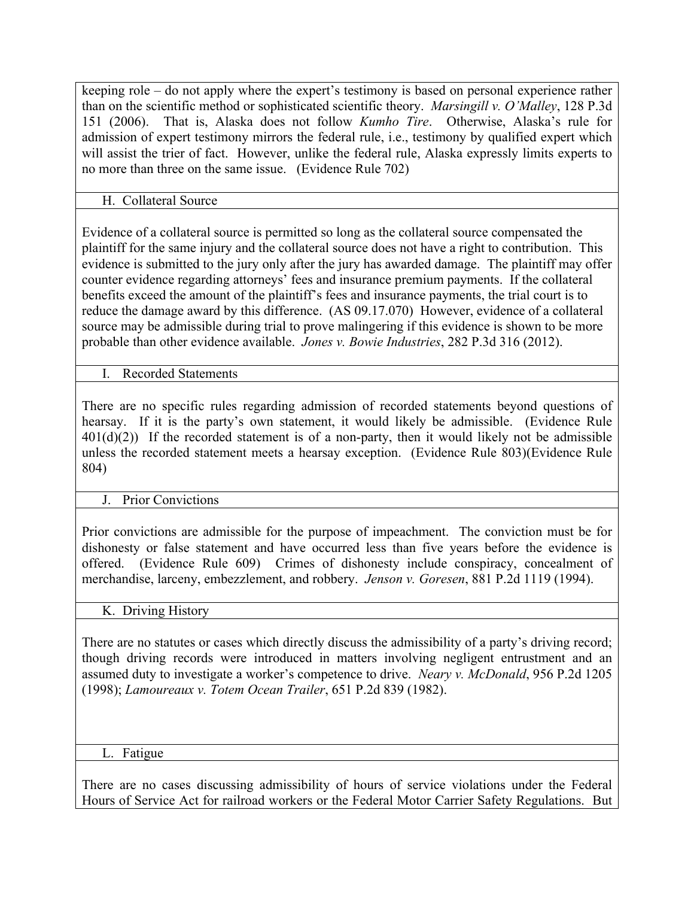keeping role – do not apply where the expert's testimony is based on personal experience rather than on the scientific method or sophisticated scientific theory. *Marsingill v. O'Malley*, 128 P.3d 151 (2006). That is, Alaska does not follow *Kumho Tire*. Otherwise, Alaska's rule for admission of expert testimony mirrors the federal rule, i.e., testimony by qualified expert which will assist the trier of fact. However, unlike the federal rule, Alaska expressly limits experts to no more than three on the same issue. (Evidence Rule 702)

H. Collateral Source

Evidence of a collateral source is permitted so long as the collateral source compensated the plaintiff for the same injury and the collateral source does not have a right to contribution. This evidence is submitted to the jury only after the jury has awarded damage. The plaintiff may offer counter evidence regarding attorneys' fees and insurance premium payments. If the collateral benefits exceed the amount of the plaintiff's fees and insurance payments, the trial court is to reduce the damage award by this difference. (AS 09.17.070) However, evidence of a collateral source may be admissible during trial to prove malingering if this evidence is shown to be more probable than other evidence available. *Jones v. Bowie Industries*, 282 P.3d 316 (2012).

I. Recorded Statements

There are no specific rules regarding admission of recorded statements beyond questions of hearsay. If it is the party's own statement, it would likely be admissible. (Evidence Rule  $401(d)(2)$ ) If the recorded statement is of a non-party, then it would likely not be admissible unless the recorded statement meets a hearsay exception. (Evidence Rule 803)(Evidence Rule 804)

# J. Prior Convictions

Prior convictions are admissible for the purpose of impeachment. The conviction must be for dishonesty or false statement and have occurred less than five years before the evidence is offered. (Evidence Rule 609) Crimes of dishonesty include conspiracy, concealment of merchandise, larceny, embezzlement, and robbery. *Jenson v. Goresen*, 881 P.2d 1119 (1994).

# K. Driving History

There are no statutes or cases which directly discuss the admissibility of a party's driving record; though driving records were introduced in matters involving negligent entrustment and an assumed duty to investigate a worker's competence to drive. *Neary v. McDonald*, 956 P.2d 1205 (1998); *Lamoureaux v. Totem Ocean Trailer*, 651 P.2d 839 (1982).

# L. Fatigue

There are no cases discussing admissibility of hours of service violations under the Federal Hours of Service Act for railroad workers or the Federal Motor Carrier Safety Regulations. But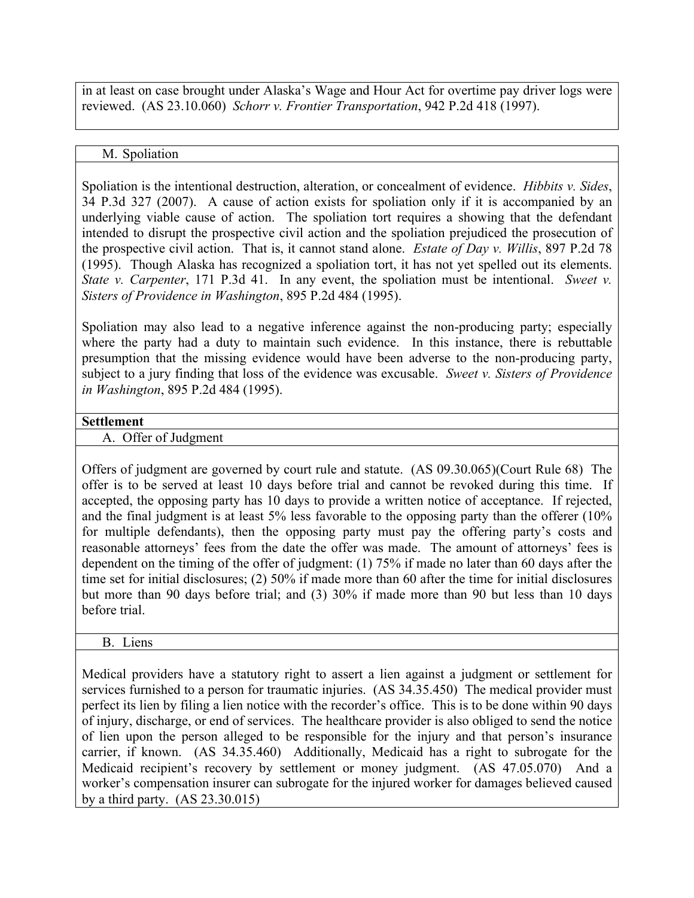in at least on case brought under Alaska's Wage and Hour Act for overtime pay driver logs were reviewed. (AS 23.10.060) *Schorr v. Frontier Transportation*, 942 P.2d 418 (1997).

## M. Spoliation

Spoliation is the intentional destruction, alteration, or concealment of evidence. *Hibbits v. Sides*, 34 P.3d 327 (2007). A cause of action exists for spoliation only if it is accompanied by an underlying viable cause of action. The spoliation tort requires a showing that the defendant intended to disrupt the prospective civil action and the spoliation prejudiced the prosecution of the prospective civil action. That is, it cannot stand alone. *Estate of Day v. Willis*, 897 P.2d 78 (1995). Though Alaska has recognized a spoliation tort, it has not yet spelled out its elements. *State v. Carpenter*, 171 P.3d 41. In any event, the spoliation must be intentional. *Sweet v. Sisters of Providence in Washington*, 895 P.2d 484 (1995).

Spoliation may also lead to a negative inference against the non-producing party; especially where the party had a duty to maintain such evidence. In this instance, there is rebuttable presumption that the missing evidence would have been adverse to the non-producing party, subject to a jury finding that loss of the evidence was excusable. *Sweet v. Sisters of Providence in Washington*, 895 P.2d 484 (1995).

#### **Settlement**

A. Offer of Judgment

Offers of judgment are governed by court rule and statute. (AS 09.30.065)(Court Rule 68) The offer is to be served at least 10 days before trial and cannot be revoked during this time. If accepted, the opposing party has 10 days to provide a written notice of acceptance. If rejected, and the final judgment is at least 5% less favorable to the opposing party than the offerer (10% for multiple defendants), then the opposing party must pay the offering party's costs and reasonable attorneys' fees from the date the offer was made. The amount of attorneys' fees is dependent on the timing of the offer of judgment: (1) 75% if made no later than 60 days after the time set for initial disclosures; (2) 50% if made more than 60 after the time for initial disclosures but more than 90 days before trial; and (3) 30% if made more than 90 but less than 10 days before trial.

## B. Liens

Medical providers have a statutory right to assert a lien against a judgment or settlement for services furnished to a person for traumatic injuries. (AS 34.35.450) The medical provider must perfect its lien by filing a lien notice with the recorder's office. This is to be done within 90 days of injury, discharge, or end of services. The healthcare provider is also obliged to send the notice of lien upon the person alleged to be responsible for the injury and that person's insurance carrier, if known. (AS 34.35.460) Additionally, Medicaid has a right to subrogate for the Medicaid recipient's recovery by settlement or money judgment. (AS 47.05.070) And a worker's compensation insurer can subrogate for the injured worker for damages believed caused by a third party. (AS 23.30.015)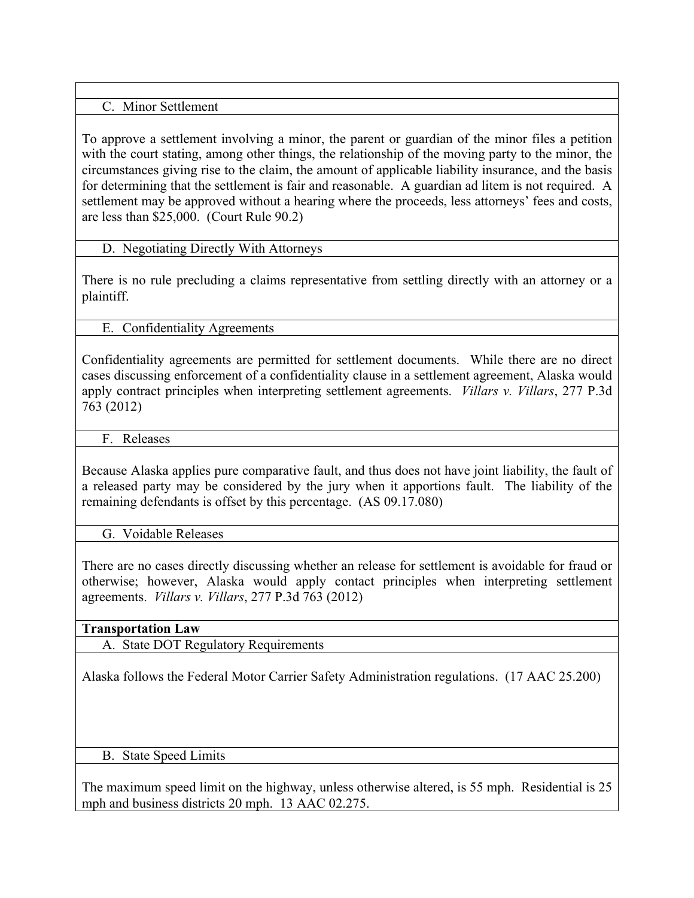## C. Minor Settlement

To approve a settlement involving a minor, the parent or guardian of the minor files a petition with the court stating, among other things, the relationship of the moving party to the minor, the circumstances giving rise to the claim, the amount of applicable liability insurance, and the basis for determining that the settlement is fair and reasonable. A guardian ad litem is not required. A settlement may be approved without a hearing where the proceeds, less attorneys' fees and costs, are less than \$25,000. (Court Rule 90.2)

# D. Negotiating Directly With Attorneys

There is no rule precluding a claims representative from settling directly with an attorney or a plaintiff.

E. Confidentiality Agreements

Confidentiality agreements are permitted for settlement documents. While there are no direct cases discussing enforcement of a confidentiality clause in a settlement agreement, Alaska would apply contract principles when interpreting settlement agreements. *Villars v. Villars*, 277 P.3d 763 (2012)

F. Releases

Because Alaska applies pure comparative fault, and thus does not have joint liability, the fault of a released party may be considered by the jury when it apportions fault. The liability of the remaining defendants is offset by this percentage. (AS 09.17.080)

G. Voidable Releases

There are no cases directly discussing whether an release for settlement is avoidable for fraud or otherwise; however, Alaska would apply contact principles when interpreting settlement agreements. *Villars v. Villars*, 277 P.3d 763 (2012)

# **Transportation Law**

A. State DOT Regulatory Requirements

Alaska follows the Federal Motor Carrier Safety Administration regulations. (17 AAC 25.200)

B. State Speed Limits

The maximum speed limit on the highway, unless otherwise altered, is 55 mph. Residential is 25 mph and business districts 20 mph. 13 AAC 02.275.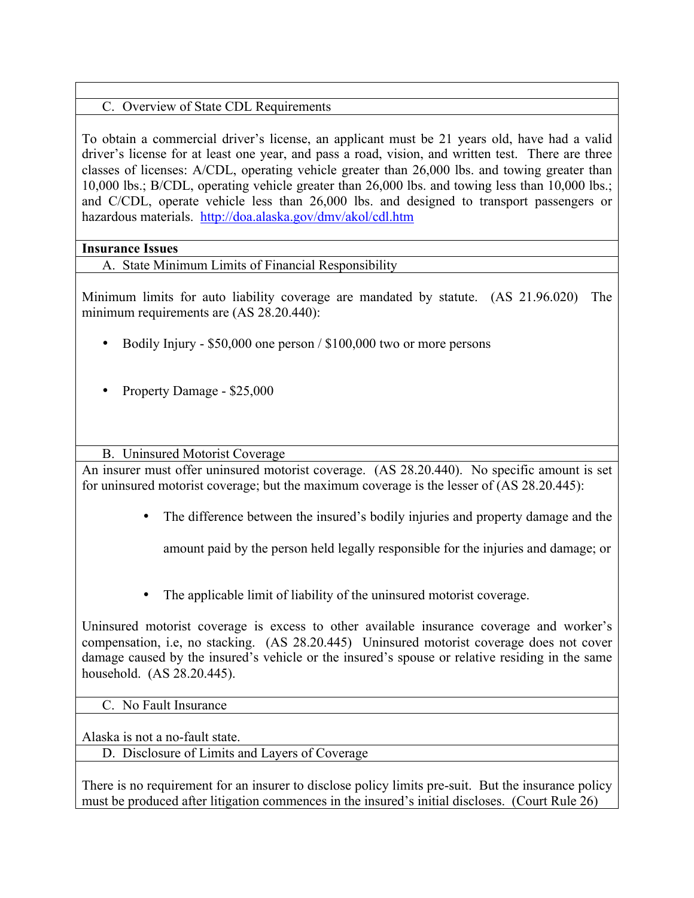# C. Overview of State CDL Requirements

To obtain a commercial driver's license, an applicant must be 21 years old, have had a valid driver's license for at least one year, and pass a road, vision, and written test. There are three classes of licenses: A/CDL, operating vehicle greater than 26,000 lbs. and towing greater than 10,000 lbs.; B/CDL, operating vehicle greater than 26,000 lbs. and towing less than 10,000 lbs.; and C/CDL, operate vehicle less than 26,000 lbs. and designed to transport passengers or hazardous materials. http://doa.alaska.gov/dmv/akol/cdl.htm

#### **Insurance Issues**

A. State Minimum Limits of Financial Responsibility

Minimum limits for auto liability coverage are mandated by statute. (AS 21.96.020) The minimum requirements are (AS 28.20.440):

- Bodily Injury \$50,000 one person / \$100,000 two or more persons
- Property Damage \$25,000

B. Uninsured Motorist Coverage

An insurer must offer uninsured motorist coverage. (AS 28.20.440). No specific amount is set for uninsured motorist coverage; but the maximum coverage is the lesser of (AS 28.20.445):

• The difference between the insured's bodily injuries and property damage and the

amount paid by the person held legally responsible for the injuries and damage; or

• The applicable limit of liability of the uninsured motorist coverage.

Uninsured motorist coverage is excess to other available insurance coverage and worker's compensation, i.e, no stacking. (AS 28.20.445) Uninsured motorist coverage does not cover damage caused by the insured's vehicle or the insured's spouse or relative residing in the same household. (AS 28.20.445).

#### C. No Fault Insurance

Alaska is not a no-fault state.

D. Disclosure of Limits and Layers of Coverage

There is no requirement for an insurer to disclose policy limits pre-suit. But the insurance policy must be produced after litigation commences in the insured's initial discloses. (Court Rule 26)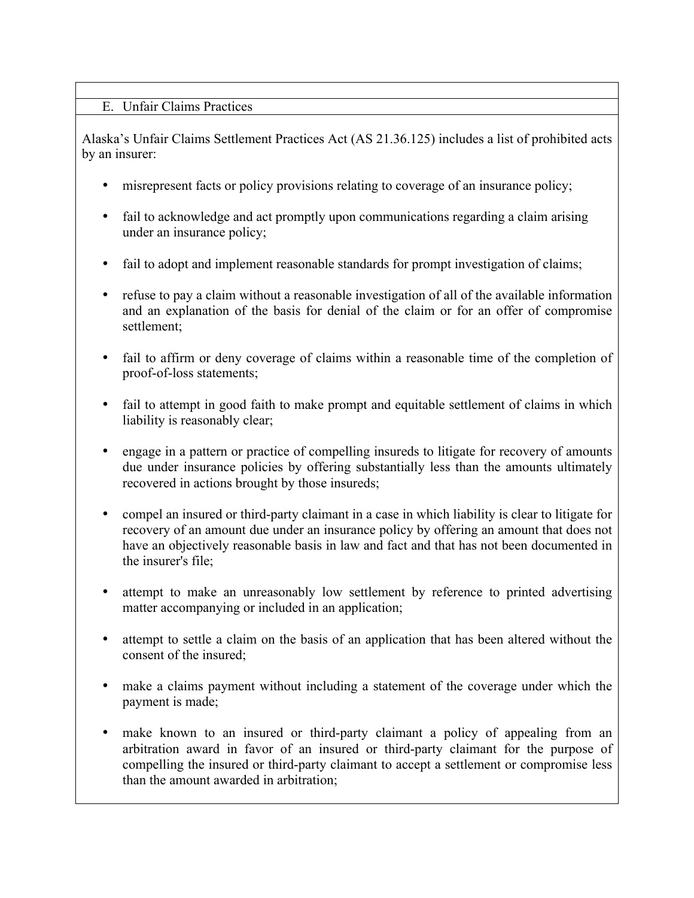## E. Unfair Claims Practices

Alaska's Unfair Claims Settlement Practices Act (AS 21.36.125) includes a list of prohibited acts by an insurer:

- misrepresent facts or policy provisions relating to coverage of an insurance policy;
- fail to acknowledge and act promptly upon communications regarding a claim arising under an insurance policy;
- fail to adopt and implement reasonable standards for prompt investigation of claims;
- refuse to pay a claim without a reasonable investigation of all of the available information and an explanation of the basis for denial of the claim or for an offer of compromise settlement;
- fail to affirm or deny coverage of claims within a reasonable time of the completion of proof-of-loss statements;
- fail to attempt in good faith to make prompt and equitable settlement of claims in which liability is reasonably clear;
- engage in a pattern or practice of compelling insureds to litigate for recovery of amounts due under insurance policies by offering substantially less than the amounts ultimately recovered in actions brought by those insureds;
- compel an insured or third-party claimant in a case in which liability is clear to litigate for recovery of an amount due under an insurance policy by offering an amount that does not have an objectively reasonable basis in law and fact and that has not been documented in the insurer's file;
- attempt to make an unreasonably low settlement by reference to printed advertising matter accompanying or included in an application;
- attempt to settle a claim on the basis of an application that has been altered without the consent of the insured;
- make a claims payment without including a statement of the coverage under which the payment is made;
- make known to an insured or third-party claimant a policy of appealing from an arbitration award in favor of an insured or third-party claimant for the purpose of compelling the insured or third-party claimant to accept a settlement or compromise less than the amount awarded in arbitration;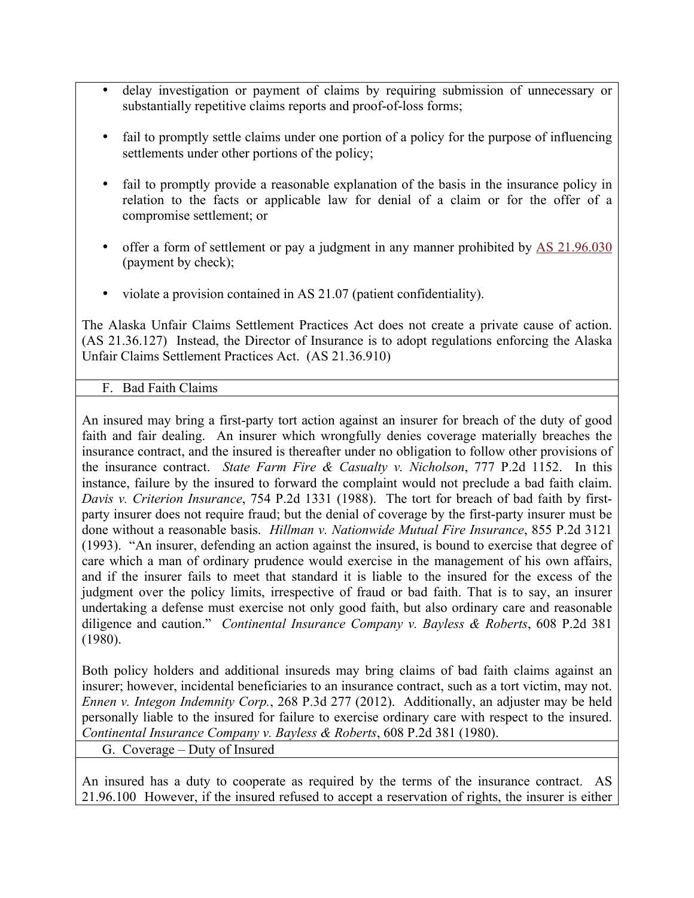- delay investigation or payment of claims by requiring submission of unnecessary or substantially repetitive claims reports and proof-of-loss forms;
- fail to promptly settle claims under one portion of a policy for the purpose of influencing settlements under other portions of the policy;
- fail to promptly provide a reasonable explanation of the basis in the insurance policy in relation to the facts or applicable law for denial of a claim or for the offer of a compromise settlement; or
- offer a form of settlement or pay a judgment in any manner prohibited by AS 21.96.030 (payment by check);
- violate a provision contained in AS 21.07 (patient confidentiality).

The Alaska Unfair Claims Settlement Practices Act does not create a private cause of action. (AS 21.36.127) Instead, the Director of Insurance is to adopt regulations enforcing the Alaska Unfair Claims Settlement Practices Act. (AS 21.36.910)

## F. Bad Faith Claims

An insured may bring a first-party tort action against an insurer for breach of the duty of good faith and fair dealing. An insurer which wrongfully denies coverage materially breaches the insurance contract, and the insured is thereafter under no obligation to follow other provisions of the insurance contract. *State Farm Fire & Casualty v. Nicholson*, 777 P.2d 1152. In this instance, failure by the insured to forward the complaint would not preclude a bad faith claim. *Davis v. Criterion Insurance*, 754 P.2d 1331 (1988). The tort for breach of bad faith by firstparty insurer does not require fraud; but the denial of coverage by the first-party insurer must be done without a reasonable basis. *Hillman v. Nationwide Mutual Fire Insurance*, 855 P.2d 3121 (1993). "An insurer, defending an action against the insured, is bound to exercise that degree of care which a man of ordinary prudence would exercise in the management of his own affairs, and if the insurer fails to meet that standard it is liable to the insured for the excess of the judgment over the policy limits, irrespective of fraud or bad faith. That is to say, an insurer undertaking a defense must exercise not only good faith, but also ordinary care and reasonable diligence and caution." *Continental Insurance Company v. Bayless & Roberts*, 608 P.2d 381 (1980).

Both policy holders and additional insureds may bring claims of bad faith claims against an insurer; however, incidental beneficiaries to an insurance contract, such as a tort victim, may not. *Ennen v. Integon Indemnity Corp.*, 268 P.3d 277 (2012). Additionally, an adjuster may be held personally liable to the insured for failure to exercise ordinary care with respect to the insured. *Continental Insurance Company v. Bayless & Roberts*, 608 P.2d 381 (1980).

G. Coverage – Duty of Insured

An insured has a duty to cooperate as required by the terms of the insurance contract. AS 21.96.100 However, if the insured refused to accept a reservation of rights, the insurer is either